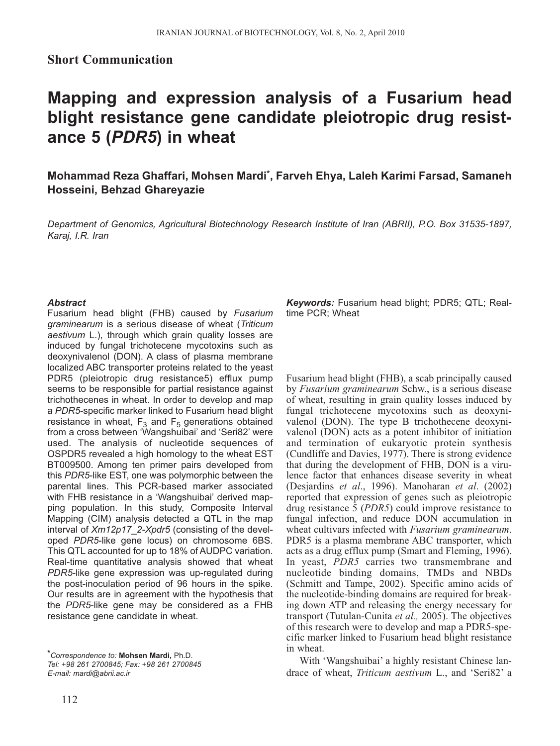## **Short Communication**

## **Mapping and expression analysis of a Fusarium head blight resistance gene candidate pleiotropic drug resistance 5 (***PDR5***) in wheat**

**Mohammad Reza Ghaffari, Mohsen Mardi\*, Farveh Ehya, Laleh Karimi Farsad, Samaneh Hosseini, Behzad Ghareyazie**

*Department of Genomics, Agricultural Biotechnology Research Institute of Iran (ABRII), P.O. Box 31535-1897, Karaj, I.R. Iran*

## *Abstract*

Fusarium head blight (FHB) caused by *Fusarium graminearum* is a serious disease of wheat (*Triticum aestivum* L.), through which grain quality losses are induced by fungal trichotecene mycotoxins such as deoxynivalenol (DON). A class of plasma membrane localized ABC transporter proteins related to the yeast PDR5 (pleiotropic drug resistance5) efflux pump seems to be responsible for partial resistance against trichothecenes in wheat. In order to develop and map a *PDR5*-specific marker linked to Fusarium head blight resistance in wheat,  $F_3$  and  $F_5$  generations obtained from a cross between 'Wangshuibai' and 'Seri82' were used. The analysis of nucleotide sequences of OSPDR5 revealed a high homology to the wheat EST BT009500. Among ten primer pairs developed from this *PDR5*-like EST, one was polymorphic between the parental lines. This PCR-based marker associated with FHB resistance in a 'Wangshuibai' derived mapping population. In this study, Composite Interval Mapping (CIM) analysis detected a QTL in the map interval of *Xm12p17\_2-Xpdr5* (consisting of the developed *PDR5*-like gene locus) on chromosome 6BS. This QTL accounted for up to 18% of AUDPC variation. Real-time quantitative analysis showed that wheat *PDR5*-like gene expression was up-regulated during the post-inoculation period of 96 hours in the spike. Our results are in agreement with the hypothesis that the *PDR5*-like gene may be considered as a FHB resistance gene candidate in wheat.

*\*Correspondence to:* **Mohsen Mardi,** Ph.D. *Tel: +98 261 2700845; Fax: +98 261 2700845 E-mail: mardi@abrii.ac.ir*

*Keywords:* Fusarium head blight; PDR5; QTL; Realtime PCR; Wheat

Fusarium head blight (FHB), a scab principally caused by *Fusarium graminearum* Schw., is a serious disease of wheat, resulting in grain quality losses induced by fungal trichotecene mycotoxins such as deoxynivalenol (DON). The type B trichothecene deoxynivalenol (DON) acts as a potent inhibitor of initiation and termination of eukaryotic protein synthesis (Cundliffe and Davies, 1977). There is strong evidence that during the development of FHB, DON is a virulence factor that enhances disease severity in wheat (Desjardins *et al*., 1996). Manoharan *et al*. (2002) reported that expression of genes such as pleiotropic drug resistance 5 (*PDR5*) could improve resistance to fungal infection, and reduce DON accumulation in wheat cultivars infected with *Fusarium graminearum*. PDR5 is a plasma membrane ABC transporter, which acts as a drug efflux pump (Smart and Fleming, 1996). In yeast, *PDR5* carries two transmembrane and nucleotide binding domains, TMDs and NBDs (Schmitt and Tampe, 2002). Specific amino acids of the nucleotide-binding domains are required for breaking down ATP and releasing the energy necessary for transport (Tutulan-Cunita *et al.,* 2005). The objectives of this research were to develop and map a PDR5-specific marker linked to Fusarium head blight resistance in wheat.

With 'Wangshuibai' a highly resistant Chinese landrace of wheat, *Triticum aestivum* L., and 'Seri82' a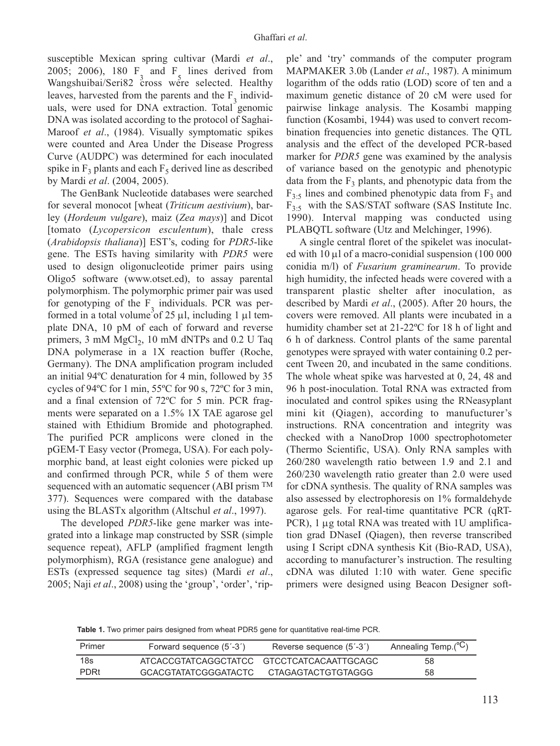susceptible Mexican spring cultivar (Mardi *et al*., 2005; 2006), 180  $\overline{F}$  and  $\overline{F}$  lines derived from<br>Wangshuibei/Sani82 areas was associated Healthy Wangshuibai/Seri82 cross were selected. Healthy leaves, harvested from the parents and the  $F_{\alpha}$  individuals, were used for DNA extraction. Total genomic DNA was isolated according to the protocol of Saghai-Maroof *et al*., (1984). Visually symptomatic spikes were counted and Area Under the Disease Progress Curve (AUDPC) was determined for each inoculated spike in  $F_3$  plants and each  $F_5$  derived line as described by Mardi *et al*. (2004, 2005).

The GenBank Nucleotide databases were searched for several monocot [wheat (*Triticum aestivium*), barley (*Hordeum vulgare*), maiz (*Zea mays*)] and Dicot [tomato (*Lycopersicon esculentum*), thale cress (*Arabidopsis thaliana*)] EST's, coding for *PDR5*-like gene. The ESTs having similarity with *PDR5* were used to design oligonucleotide primer pairs using Oligo5 software (www.otset.ed), to assay parental polymorphism. The polymorphic primer pair was used for genotyping of the  $F_3$  individuals. PCR was performed in a total volume of 25 μl, including 1 μl template DNA, 10 pM of each of forward and reverse primers,  $3 \text{ mM } MgCl<sub>2</sub>$ ,  $10 \text{ mM } dNTPs$  and  $0.2 \text{ U } Taq$ DNA polymerase in a 1X reaction buffer (Roche, Germany). The DNA amplification program included an initial 94ºC denaturation for 4 min, followed by 35 cycles of 94ºC for 1 min, 55ºC for 90 s, 72ºC for 3 min, and a final extension of 72ºC for 5 min. PCR fragments were separated on a 1.5% 1X TAE agarose gel stained with Ethidium Bromide and photographed. The purified PCR amplicons were cloned in the pGEM-T Easy vector (Promega, USA). For each polymorphic band, at least eight colonies were picked up and confirmed through PCR, while 5 of them were sequenced with an automatic sequencer (ABI prism TM 377). Sequences were compared with the database using the BLASTx algorithm (Altschul *et al*., 1997).

The developed *PDR5*-like gene marker was integrated into a linkage map constructed by SSR (simple sequence repeat), AFLP (amplified fragment length polymorphism), RGA (resistance gene analogue) and ESTs (expressed sequence tag sites) (Mardi *et al*., 2005; Naji *et al*., 2008) using the 'group', 'order', 'ripple' and 'try' commands of the computer program MAPMAKER 3.0b (Lander *et al*., 1987). A minimum logarithm of the odds ratio (LOD) score of ten and a maximum genetic distance of 20 cM were used for pairwise linkage analysis. The Kosambi mapping function (Kosambi, 1944) was used to convert recombination frequencies into genetic distances. The QTL analysis and the effect of the developed PCR-based marker for *PDR5* gene was examined by the analysis of variance based on the genotypic and phenotypic data from the  $F_3$  plants, and phenotypic data from the  $F_{3:5}$  lines and combined phenotypic data from  $F_3$  and  $F_{3:5}$  with the SAS/STAT software (SAS Institute Inc. 1990). Interval mapping was conducted using PLABQTL software (Utz and Melchinger, 1996).

A single central floret of the spikelet was inoculated with 10 μl of a macro-conidial suspension (100 000 conidia m/l) of *Fusarium graminearum*. To provide high humidity, the infected heads were covered with a transparent plastic shelter after inoculation, as described by Mardi *et al*., (2005). After 20 hours, the covers were removed. All plants were incubated in a humidity chamber set at 21-22ºC for 18 h of light and 6 h of darkness. Control plants of the same parental genotypes were sprayed with water containing 0.2 percent Tween 20, and incubated in the same conditions. The whole wheat spike was harvested at 0, 24, 48 and 96 h post-inoculation. Total RNA was extracted from inoculated and control spikes using the RNeasyplant mini kit (Qiagen), according to manufucturer's instructions. RNA concentration and integrity was checked with a NanoDrop 1000 spectrophotometer (Thermo Scientific, USA). Only RNA samples with 260/280 wavelength ratio between 1.9 and 2.1 and 260/230 wavelength ratio greater than 2.0 were used for cDNA synthesis. The quality of RNA samples was also assessed by electrophoresis on 1% formaldehyde agarose gels. For real-time quantitative PCR (qRT-PCR), 1 μg total RNA was treated with 1U amplification grad DNaseI (Qiagen), then reverse transcribed using I Script cDNA synthesis Kit (Bio-RAD, USA), according to manufacturer's instruction. The resulting cDNA was diluted 1:10 with water. Gene specific primers were designed using Beacon Designer soft-

**Table 1.** Two primer pairs designed from wheat PDR5 gene for quantitative real-time PCR.

| Primer      | Forward sequence (5'-3')                  | Reverse sequence (5'-3') | Annealing Temp.(°C) |
|-------------|-------------------------------------------|--------------------------|---------------------|
| 18s         | ATCACCGTATCAGGCTATCC GTCCTCATCACAATTGCAGC |                          | 58                  |
| <b>PDRt</b> | GCACGTATATCGGGATACTC                      | CTAGAGTACTGTGTAGGG       | 58                  |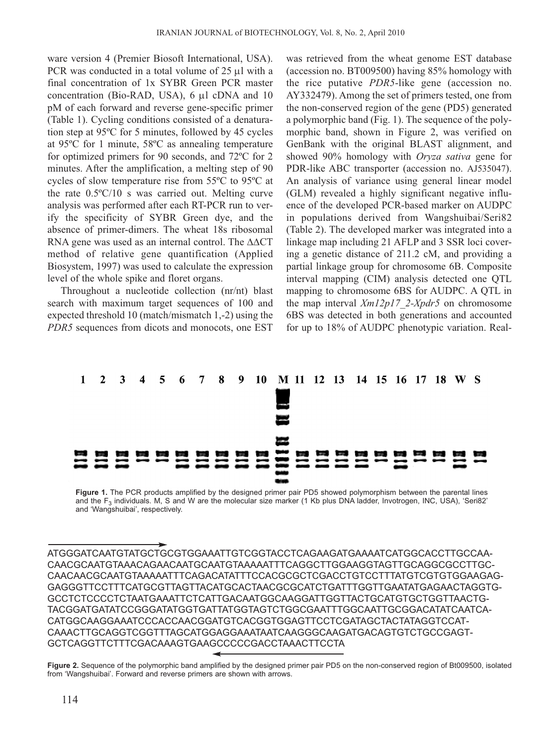ware version 4 (Premier Biosoft International, USA). PCR was conducted in a total volume of 25 μl with a final concentration of 1x SYBR Green PCR master concentration (Bio-RAD, USA), 6 μl cDNA and 10 pM of each forward and reverse gene-specific primer (Table 1). Cycling conditions consisted of a denaturation step at 95ºC for 5 minutes, followed by 45 cycles at 95ºC for 1 minute, 58ºC as annealing temperature for optimized primers for 90 seconds, and 72ºC for 2 minutes. After the amplification, a melting step of 90 cycles of slow temperature rise from 55ºC to 95ºC at the rate 0.5ºC/10 s was carried out. Melting curve analysis was performed after each RT-PCR run to verify the specificity of SYBR Green dye, and the absence of primer-dimers. The wheat 18s ribosomal RNA gene was used as an internal control. The ΔΔCT method of relative gene quantification (Applied Biosystem, 1997) was used to calculate the expression level of the whole spike and floret organs.

Throughout a nucleotide collection (nr/nt) blast search with maximum target sequences of 100 and expected threshold 10 (match/mismatch 1,-2) using the *PDR5* sequences from dicots and monocots, one EST was retrieved from the wheat genome EST database (accession no. BT009500) having 85% homology with the rice putative *PDR5*-like gene (accession no. AY332479). Among the set of primers tested, one from the non-conserved region of the gene (PD5) generated a polymorphic band (Fig. 1). The sequence of the polymorphic band, shown in Figure 2, was verified on GenBank with the original BLAST alignment, and showed 90% homology with *Oryza sativa* gene for PDR-like ABC transporter (accession no. AJ535047). An analysis of variance using general linear model (GLM) revealed a highly significant negative influence of the developed PCR-based marker on AUDPC in populations derived from Wangshuibai/Seri82 (Table 2). The developed marker was integrated into a linkage map including 21 AFLP and 3 SSR loci covering a genetic distance of 211.2 cM, and providing a partial linkage group for chromosome 6B. Composite interval mapping (CIM) analysis detected one QTL mapping to chromosome 6BS for AUDPC. A QTL in the map interval *Xm12p17*\_*2-Xpdr5* on chromosome 6BS was detected in both generations and accounted for up to 18% of AUDPC phenotypic variation. Real-



**Figure 1.** The PCR products amplified by the designed primer pair PD5 showed polymorphism between the parental lines and the  $F_3$  individuals. M, S and W are the molecular size marker (1 Kb plus DNA ladder, Invotrogen, INC, USA), 'Seri82' and 'Wangshuibai', respectively.

ATGGGATCAATGTATGCTGCGTGGAAATTGTCGGTACCTCAGAAGATGAAAATCATGGCACCTTGCCAA-CAACGCAATGTAAACAGAACAATGCAATGTAAAAATTTCAGGCTTGGAAGGTAGTTGCAGGCGCCTTGC-CAACAACGCAATGTAAAAATTTCAGACATATTTCCACGCGCTCGACCTGTCCTTTATGTCGTGTGGAAGAG-GAGGGTTCCTTTCATGCGTTAGTTACATGCACTAACGCGCATCTGATTTGGTTGAATATGAGAACTAGGTG-GCCTCTCCCCTCTAATGAAATTCTCATTGACAATGGCAAGGATTGGTTACTGCATGTGCTGGTTAACTG-TACGGATGATATCCGGGATATGGTGATTATGGTAGTCTGGCGAATTTGGCAATTGCGGACATATCAATCA-CATGGCAAGGAAATCCCACCAACGGATGTCACGGTGGAGTTCCTCGATAGCTACTATAGGTCCAT-CAAACTTGCAGGTCGGTTTAGCATGGAGGAAATAATCAAGGGCAAGATGACAGTGTCTGCCGAGT-GCTCAGGTTCTTTCGACAAAGTGAAGCCCCCGACCTAAACTTCCTA

**Figure 2.** Sequence of the polymorphic band amplified by the designed primer pair PD5 on the non-conserved region of Bt009500, isolated from 'Wangshuibai'. Forward and reverse primers are shown with arrows.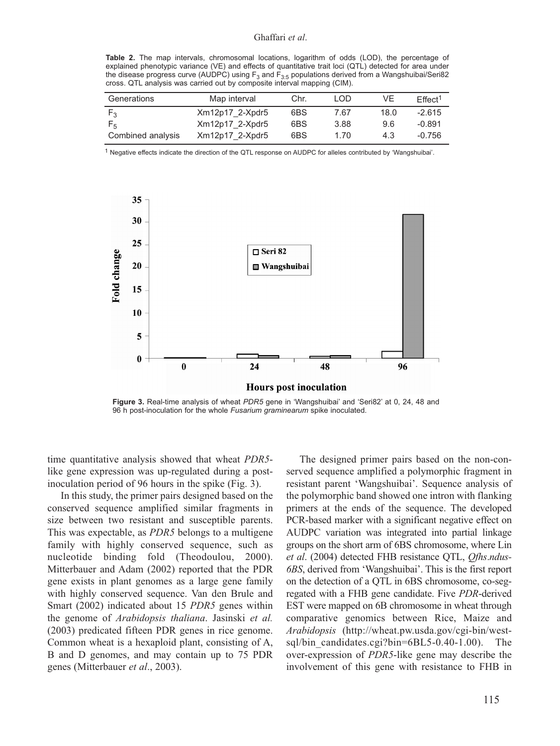**Table 2.** The map intervals, chromosomal locations, logarithm of odds (LOD), the percentage of explained phenotypic variance (VE) and effects of quantitative trait loci (QTL) detected for area under the disease progress curve (AUDPC) using  $F_3$  and  $F_3$  populations derived from a Wangshuibai/Seri82 cross. QTL analysis was carried out by composite interval mapping (CIM).

| Generations       | Map interval    | Chr. | LOD. | VE   | $E$ ffect <sup>1</sup> |
|-------------------|-----------------|------|------|------|------------------------|
| F٩                | Xm12p17 2-Xpdr5 | 6BS  | 7.67 | 18.0 | $-2.615$               |
| F5                | Xm12p17 2-Xpdr5 | 6BS  | 3.88 | 9.6  | -0.891                 |
| Combined analysis | Xm12p17 2-Xpdr5 | 6BS  | 1.70 | 4.3  | $-0.756$               |

1 Negative effects indicate the direction of the QTL response on AUDPC for alleles contributed by 'Wangshuibai'.



**Figure 3.** Real-time analysis of wheat *PDR5* gene in 'Wangshuibai' and 'Seri82' at 0, 24, 48 and 96 h post-inoculation for the whole *Fusarium graminearum* spike inoculated.

time quantitative analysis showed that wheat *PDR5* like gene expression was up-regulated during a postinoculation period of 96 hours in the spike (Fig. 3).

In this study, the primer pairs designed based on the conserved sequence amplified similar fragments in size between two resistant and susceptible parents. This was expectable, as *PDR5* belongs to a multigene family with highly conserved sequence, such as nucleotide binding fold (Theodoulou, 2000). Mitterbauer and Adam (2002) reported that the PDR gene exists in plant genomes as a large gene family with highly conserved sequence. Van den Brule and Smart (2002) indicated about 15 *PDR5* genes within the genome of *Arabidopsis thaliana*. Jasinski *et al.* (2003) predicated fifteen PDR genes in rice genome. Common wheat is a hexaploid plant, consisting of A, B and D genomes, and may contain up to 75 PDR genes (Mitterbauer *et al*., 2003).

The designed primer pairs based on the non-conserved sequence amplified a polymorphic fragment in resistant parent 'Wangshuibai'. Sequence analysis of the polymorphic band showed one intron with flanking primers at the ends of the sequence. The developed PCR-based marker with a significant negative effect on AUDPC variation was integrated into partial linkage groups on the short arm of 6BS chromosome, where Lin *et al*. (2004) detected FHB resistance QTL, *Qfhs*.*ndus-6BS*, derived from 'Wangshuibai'. This is the first report on the detection of a QTL in 6BS chromosome, co-segregated with a FHB gene candidate. Five *PDR*-derived EST were mapped on 6B chromosome in wheat through comparative genomics between Rice, Maize and *Arabidopsis* (http://wheat.pw.usda.gov/cgi-bin/westsql/bin candidates.cgi?bin=6BL5-0.40-1.00). The over-expression of *PDR5*-like gene may describe the involvement of this gene with resistance to FHB in